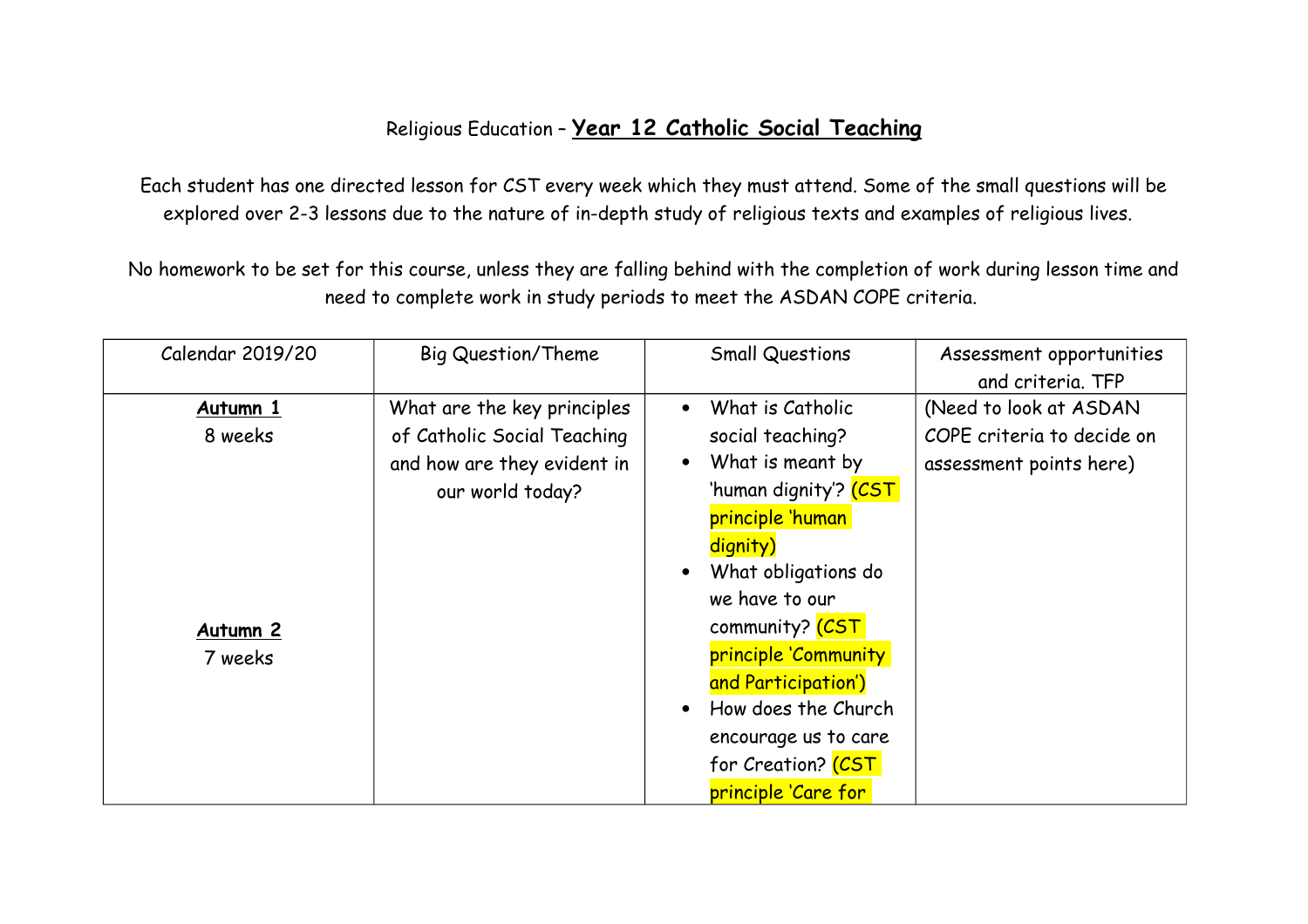## Religious Education – **Year 12 Catholic Social Teaching**

Each student has one directed lesson for CST every week which they must attend. Some of the small questions will be explored over 2-3 lessons due to the nature of in-depth study of religious texts and examples of religious lives.

No homework to be set for this course, unless they are falling behind with the completion of work during lesson time and need to complete work in study periods to meet the ASDAN COPE criteria.

| Calendar 2019/20    | <b>Big Question/Theme</b>   | <b>Small Questions</b>             | Assessment opportunities   |
|---------------------|-----------------------------|------------------------------------|----------------------------|
|                     |                             |                                    | and criteria. TFP          |
| Autumn 1            | What are the key principles | What is Catholic<br>$\bullet$      | (Need to look at ASDAN     |
| 8 weeks             | of Catholic Social Teaching | social teaching?                   | COPE criteria to decide on |
|                     | and how are they evident in | What is meant by                   | assessment points here)    |
|                     | our world today?            | 'human dignity'? <mark>(CST</mark> |                            |
|                     |                             | principle 'human                   |                            |
|                     |                             | dignity)                           |                            |
|                     |                             | What obligations do                |                            |
|                     |                             | we have to our                     |                            |
| Autumn <sub>2</sub> |                             | community? (CST                    |                            |
| 7 weeks             |                             | principle 'Community               |                            |
|                     |                             | and Participation')                |                            |
|                     |                             | How does the Church                |                            |
|                     |                             | encourage us to care               |                            |
|                     |                             | for Creation? (CST                 |                            |
|                     |                             | principle 'Care for                |                            |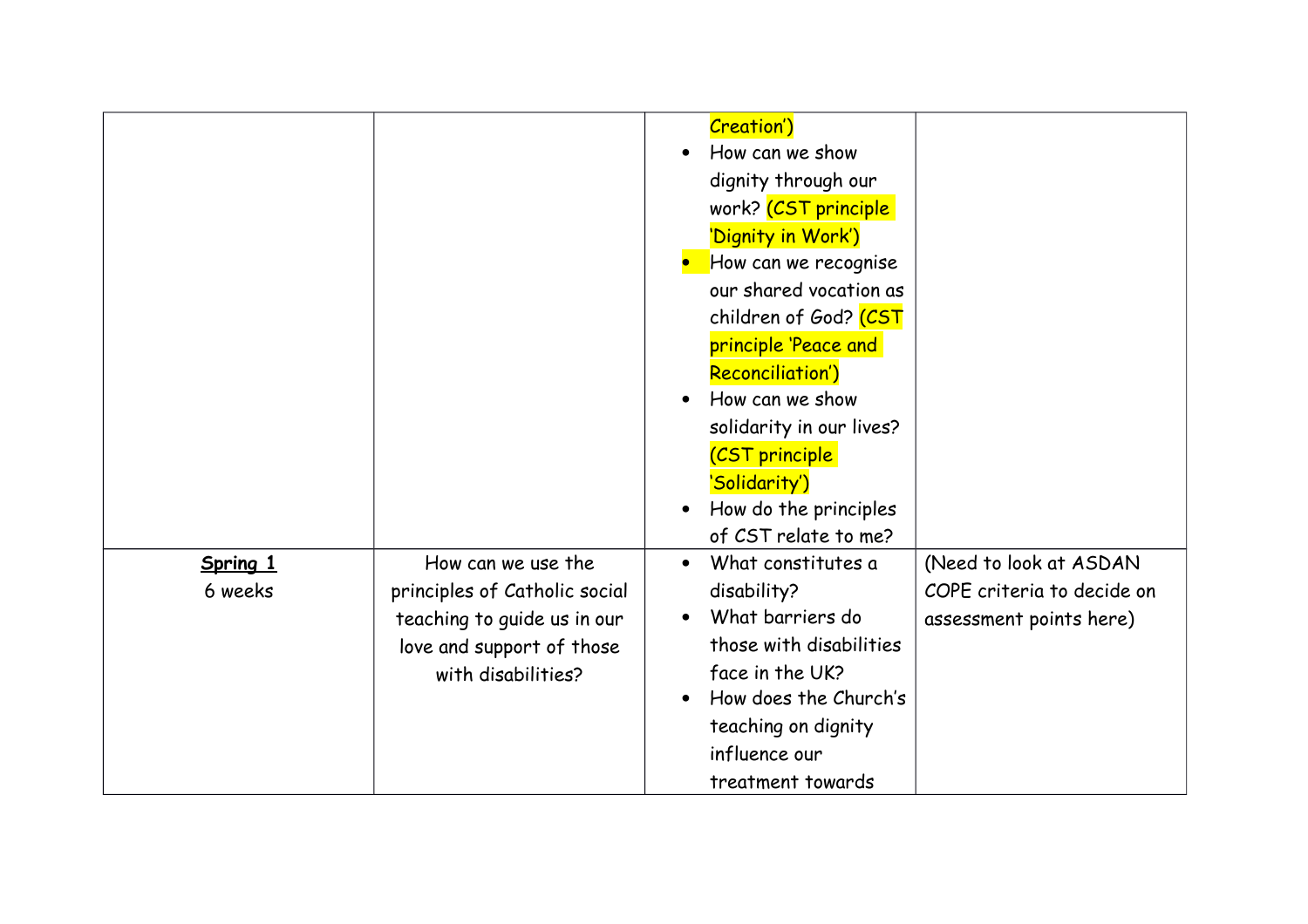|                     |                                                                                                                                       | <b>Creation')</b><br>How can we show<br>dignity through our<br>work? (CST principle<br>'Dignity in Work')<br>How can we recognise<br>our shared vocation as<br>children of God? <mark>(CST</mark><br>principle 'Peace and<br>Reconciliation')<br>How can we show<br>solidarity in our lives?<br><b>CST</b> principle<br>'Solidarity')<br>How do the principles |                                                                                 |
|---------------------|---------------------------------------------------------------------------------------------------------------------------------------|----------------------------------------------------------------------------------------------------------------------------------------------------------------------------------------------------------------------------------------------------------------------------------------------------------------------------------------------------------------|---------------------------------------------------------------------------------|
|                     |                                                                                                                                       | of CST relate to me?                                                                                                                                                                                                                                                                                                                                           |                                                                                 |
| Spring 1<br>6 weeks | How can we use the<br>principles of Catholic social<br>teaching to guide us in our<br>love and support of those<br>with disabilities? | What constitutes a<br>disability?<br>What barriers do<br>those with disabilities<br>face in the UK?<br>How does the Church's<br>teaching on dignity<br>influence our<br>treatment towards                                                                                                                                                                      | (Need to look at ASDAN<br>COPE criteria to decide on<br>assessment points here) |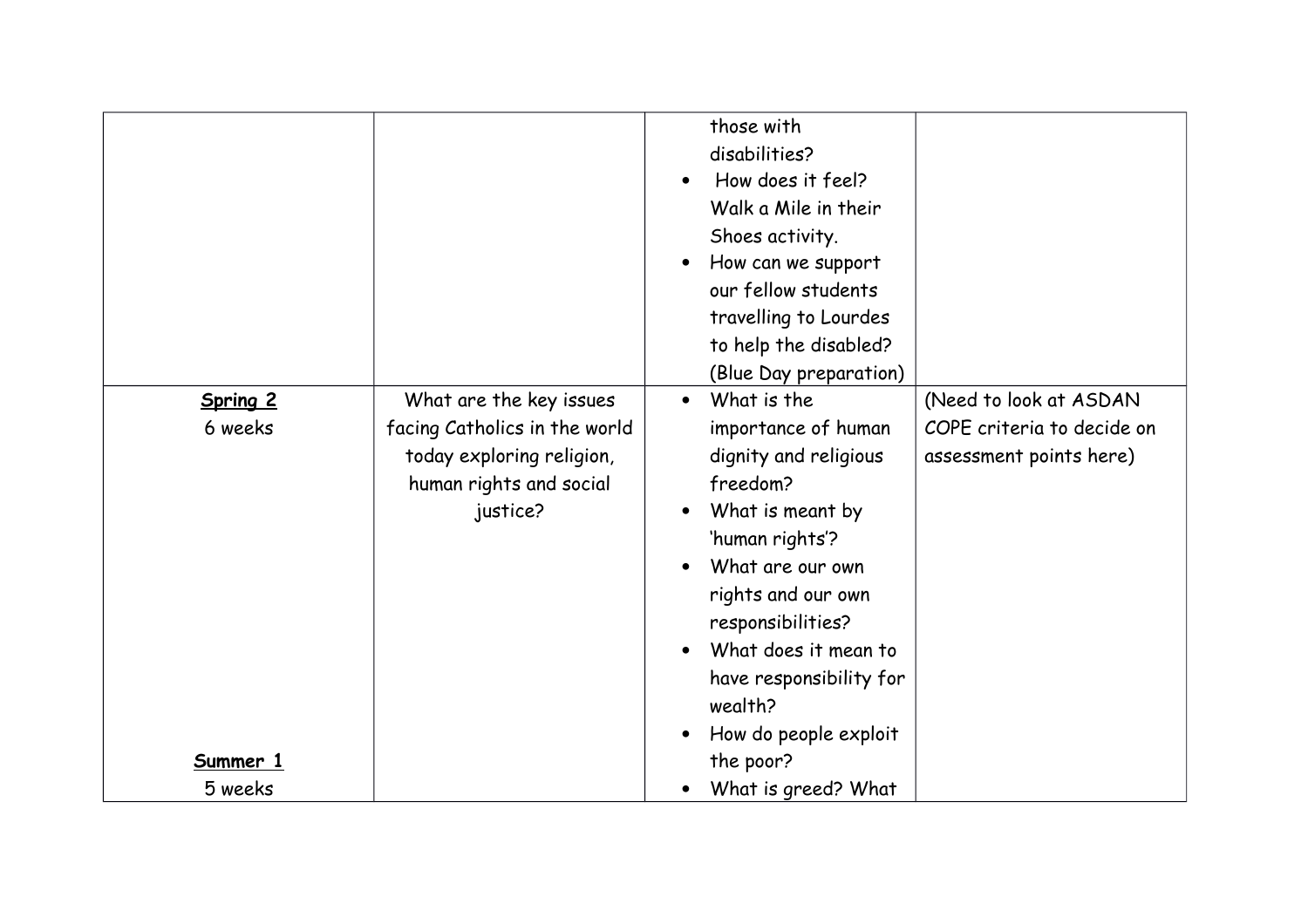|                     | What are the key issues                                                                           | those with<br>disabilities?<br>How does it feel?<br>Walk a Mile in their<br>Shoes activity.<br>How can we support<br>our fellow students<br>travelling to Lourdes<br>to help the disabled?<br>(Blue Day preparation)<br>What is the<br>$\bullet$      | (Need to look at ASDAN                                |
|---------------------|---------------------------------------------------------------------------------------------------|-------------------------------------------------------------------------------------------------------------------------------------------------------------------------------------------------------------------------------------------------------|-------------------------------------------------------|
| Spring 2<br>6 weeks | facing Catholics in the world<br>today exploring religion,<br>human rights and social<br>justice? | importance of human<br>dignity and religious<br>freedom?<br>What is meant by<br>'human rights'?<br>What are our own<br>rights and our own<br>responsibilities?<br>What does it mean to<br>have responsibility for<br>wealth?<br>How do people exploit | COPE criteria to decide on<br>assessment points here) |
| Summer 1<br>5 weeks |                                                                                                   | the poor?<br>What is greed? What                                                                                                                                                                                                                      |                                                       |
|                     |                                                                                                   |                                                                                                                                                                                                                                                       |                                                       |